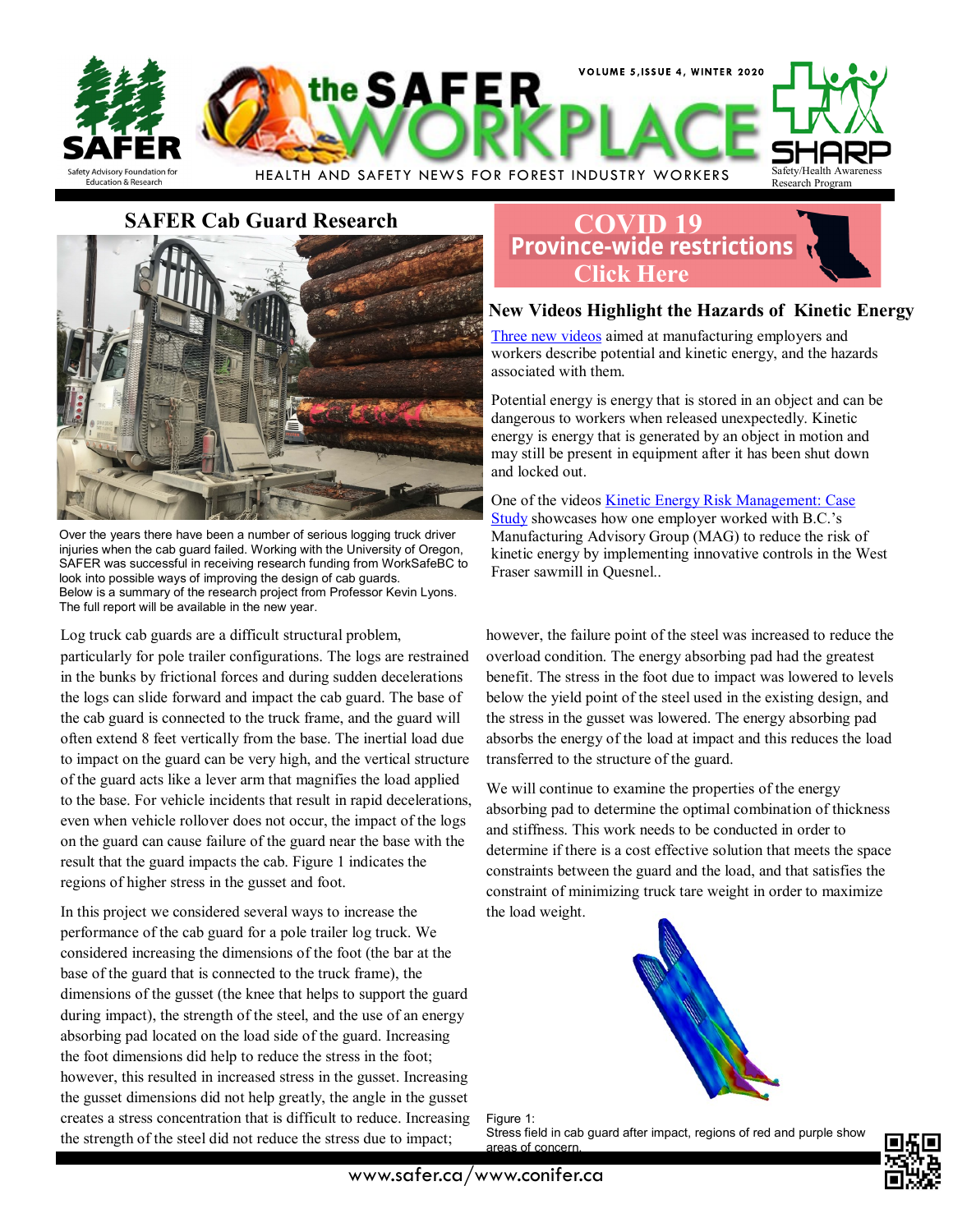

**SAFER Cab Guard Research**



Over the years there have been a number of serious logging truck driver injuries when the cab guard failed. Working with the University of Oregon, SAFER was successful in receiving research funding from WorkSafeBC to look into possible ways of improving the design of cab guards. Below is a summary of the research project from Professor Kevin Lyons. The full report will be available in the new year.

Log truck cab guards are a difficult structural problem,

particularly for pole trailer configurations. The logs are restrained in the bunks by frictional forces and during sudden decelerations the logs can slide forward and impact the cab guard. The base of the cab guard is connected to the truck frame, and the guard will often extend 8 feet vertically from the base. The inertial load due to impact on the guard can be very high, and the vertical structure of the guard acts like a lever arm that magnifies the load applied to the base. For vehicle incidents that result in rapid decelerations, even when vehicle rollover does not occur, the impact of the logs on the guard can cause failure of the guard near the base with the result that the guard impacts the cab. Figure 1 indicates the regions of higher stress in the gusset and foot.

In this project we considered several ways to increase the performance of the cab guard for a pole trailer log truck. We considered increasing the dimensions of the foot (the bar at the base of the guard that is connected to the truck frame), the dimensions of the gusset (the knee that helps to support the guard during impact), the strength of the steel, and the use of an energy absorbing pad located on the load side of the guard. Increasing the foot dimensions did help to reduce the stress in the foot; however, this resulted in increased stress in the gusset. Increasing the gusset dimensions did not help greatly, the angle in the gusset creates a stress concentration that is difficult to reduce. Increasing the strength of the steel did not reduce the stress due to impact;

# **[COVID 19](https://www2.gov.bc.ca/gov/content/safety/emergency-preparedness-response-recovery/covid-19-provincial-support/restrictions)**<br>**Province-wide restrictions Click Here**

# **New Videos Highlight the Hazards of Kinetic Energy**

[Three new videos](https://www.worksafebc.com/en/about-us/news-events/announcements/2020/December/new-videos-highlight-hazards-potential-kinetic-energy-how-employers-can-reduce-risks) aimed at manufacturing employers and workers describe potential and kinetic energy, and the hazards associated with them.

Potential energy is energy that is stored in an object and can be dangerous to workers when released unexpectedly. Kinetic energy is energy that is generated by an object in motion and may still be present in equipment after it has been shut down and locked out.

One of the videos [Kinetic Energy Risk Management: Case](https://www.worksafebc.com/en/resources/health-safety/videos/kinetic-energy-risk-management-case-study?lang=en)  [Study](https://www.worksafebc.com/en/resources/health-safety/videos/kinetic-energy-risk-management-case-study?lang=en) showcases how one employer worked with B.C.'s Manufacturing Advisory Group (MAG) to reduce the risk of kinetic energy by implementing innovative controls in the West Fraser sawmill in Quesnel..

however, the failure point of the steel was increased to reduce the overload condition. The energy absorbing pad had the greatest benefit. The stress in the foot due to impact was lowered to levels below the yield point of the steel used in the existing design, and the stress in the gusset was lowered. The energy absorbing pad absorbs the energy of the load at impact and this reduces the load transferred to the structure of the guard.

We will continue to examine the properties of the energy absorbing pad to determine the optimal combination of thickness and stiffness. This work needs to be conducted in order to determine if there is a cost effective solution that meets the space constraints between the guard and the load, and that satisfies the constraint of minimizing truck tare weight in order to maximize the load weight.



Figure 1: Stress field in cab guard after impact, regions of red and purple show areas of concern.